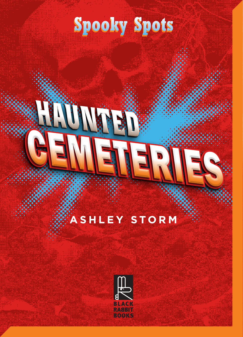### **Spooky Spots Spooky Spots**

### **HAUNTED** CEMETERIES

### **ASHLEY STORM**

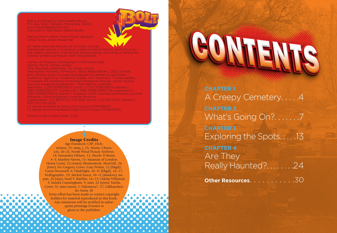Bolt is published by Black Rabbit Books and Atlantis is published by Black Rabbit Books P.O. Box 3263, Mankato, Minnesota, 56002. www.blackrabbitbooks.com www.blackHabbitbooks.com<br>Copyright © 2021 Black Rabbit Books

Marysa Storm, editor; Grant Gould, designer; Omay Ayres, photo researcher

All rights reserved. No part of this book may be reproduced, stored in a retrieval system or transmitted in any form or by any means, electronic, mechanical, photocopying, recording, or otherwise, any means, electronic, mechanical, photocopyl<br>without written permission from the publisher.

Library of Congress Cataloging-in-Publication Data and the reproduced in any Names: Storm, Ashley, author.<br>The publishers of the publishers with a publisher of the publishers of the publishers of the publishers of the

Title: Haunted cemeteries / by Ashley Storm.

Description: Mankato, Minnesota : Black Rabbit Books, [2021] | Series: Bolt. Spooky spots | Includes bibliographical references and index. | Audience: Ages 8-12 | Audience: Grades 4-6 | Summary: "Invites readers to explore the mysteries of haunted cemeteries through closely leveled text and engaging infographics"– Provided by publisher. text and engaging imagraphics — Fronded by pablisher:<br>Identifiers: LCCN 2019026675 (print) | LCCN 2019026676 (ebook) | ISBN 9781623102777 (hardcover) | ISBN 9781644663738 (paperback) | 781623103712 (ebook) | Subjects: LCSH: Haunted cemeteries-Juvenile ISBN 9781623103712 (ebook) | Subjects: LCSH:<br>literature. | Haunted places-Juvenile literature. Classification: LCC BF1474.3 .S76 2021 (print) | LCC BF1474.3 (ebook) | Principle Book Printers, 2002, (printy peed B<br>DDC 133.1/22-dc23 DB 6 166.17 EE 16626<br>LC record available at https://lccn.loc.gov/2

LC record available at https://lccn.loc.gov/2019026675 LC ebook record available at https://lccn.loc.gov/2019026676

Printed in the United States. 2/20

#### Image Credits

Age Fotostock: CSP\_ESchweitzer, 32; miss\_j, 25; Alamy: Chronicle, 20–21; North Wind Picture Archives, 18; Samantha Ohlsen, 12; iStock: D-Keine, 4–5; Marilyn Nieves, 15; Museum of London: Henry Grant, 22 (inset); Shutterstock: AlexLMX, 26 (btm); Fer Gregory, Cover; Gary Perkin, 22 (bkgd); Gavin Swonnell, 6; Hitdelight, 10–11 (bkgd), 16–17; Hollygraphic, 29; Michal Sanca, 10–11 (shadow); mipan, 26 (top); Noel V. Baebler, 14–15; Odette Villarreal, 3; Sandra Cunningham, 9; siart, 22 (eyes); Tartila, Cover, 31; tatui suwat, 1; Valentyna7, 27; Zakharchenko Anna, 10

Every effort has been made to contact copyright holders for material reproduced in this book. Any omissions will be rectified in subsequent printings if notice is given to the publisher.

### CONTENTS

**CHAPTER 1** A Creepy Cemetery.....4 **CHAPTER 2** What's Going On?.......7 **CHAPTER 3** Exploring the Spots. . . . .13 **CHAPTER 4** Are They Really Haunted?. . . . . . . .24

**Other Resources.** . . . . . . . . . . 30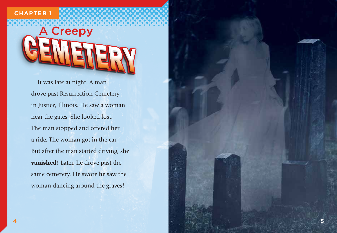#### **CHAPTER 1**

## A Creepy

It was late at night. A man drove past Resurrection Cemetery in Justice, Illinois. He saw a woman near the gates. She looked lost. The man stopped and offered her a ride. The woman got in the car. But after the man started driving, she vanished! Later, he drove past the same cemetery. He swore he saw the woman dancing around the graves!

**5**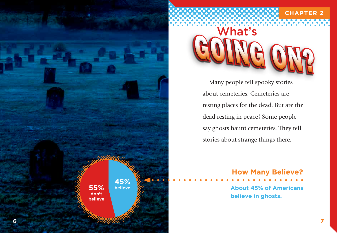

# GOING ON?

**CHAPTER 2**

Many people tell spooky stories about cemeteries. Cemeteries are resting places for the dead. But are the dead resting in peace? Some people say ghosts haunt cemeteries. They tell stories about strange things there.

> **About 45% of Americans believe in ghosts. How Many Believe?**